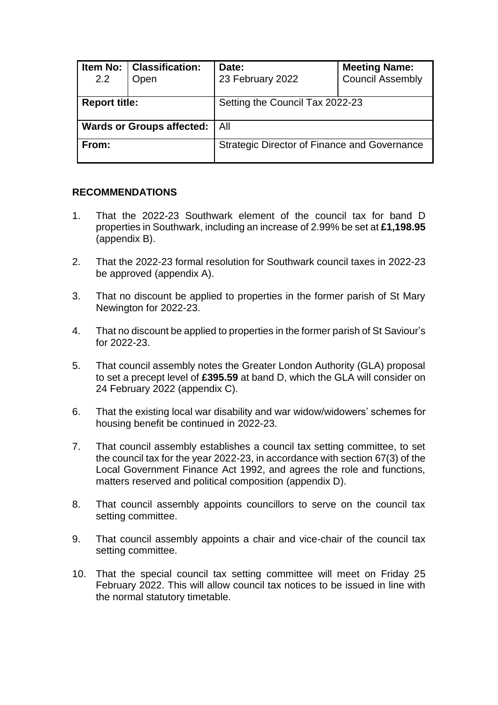| 2.2                              | Item No:   Classification:<br>Open | Date:<br>23 February 2022                    | <b>Meeting Name:</b><br><b>Council Assembly</b> |  |
|----------------------------------|------------------------------------|----------------------------------------------|-------------------------------------------------|--|
| <b>Report title:</b>             |                                    | Setting the Council Tax 2022-23              |                                                 |  |
| <b>Wards or Groups affected:</b> |                                    | l All                                        |                                                 |  |
| From:                            |                                    | Strategic Director of Finance and Governance |                                                 |  |

#### **RECOMMENDATIONS**

- 1. That the 2022-23 Southwark element of the council tax for band D properties in Southwark, including an increase of 2.99% be set at **£1,198.95** (appendix B).
- 2. That the 2022-23 formal resolution for Southwark council taxes in 2022-23 be approved (appendix A).
- 3. That no discount be applied to properties in the former parish of St Mary Newington for 2022-23.
- 4. That no discount be applied to properties in the former parish of St Saviour's for 2022-23.
- 5. That council assembly notes the Greater London Authority (GLA) proposal to set a precept level of **£395.59** at band D, which the GLA will consider on 24 February 2022 (appendix C).
- 6. That the existing local war disability and war widow/widowers' schemes for housing benefit be continued in 2022-23.
- 7. That council assembly establishes a council tax setting committee, to set the council tax for the year 2022-23, in accordance with section 67(3) of the Local Government Finance Act 1992, and agrees the role and functions, matters reserved and political composition (appendix D).
- 8. That council assembly appoints councillors to serve on the council tax setting committee.
- 9. That council assembly appoints a chair and vice-chair of the council tax setting committee.
- 10. That the special council tax setting committee will meet on Friday 25 February 2022. This will allow council tax notices to be issued in line with the normal statutory timetable.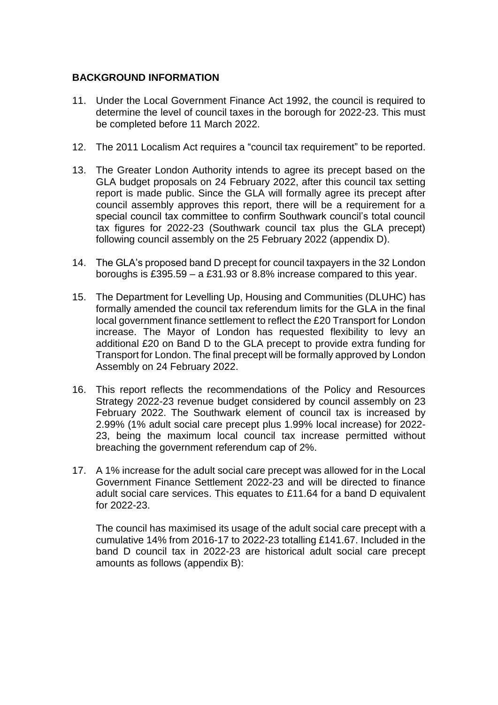### **BACKGROUND INFORMATION**

- 11. Under the Local Government Finance Act 1992, the council is required to determine the level of council taxes in the borough for 2022-23. This must be completed before 11 March 2022.
- 12. The 2011 Localism Act requires a "council tax requirement" to be reported.
- 13. The Greater London Authority intends to agree its precept based on the GLA budget proposals on 24 February 2022, after this council tax setting report is made public. Since the GLA will formally agree its precept after council assembly approves this report, there will be a requirement for a special council tax committee to confirm Southwark council's total council tax figures for 2022-23 (Southwark council tax plus the GLA precept) following council assembly on the 25 February 2022 (appendix D).
- 14. The GLA's proposed band D precept for council taxpayers in the 32 London boroughs is £395.59 – a £31.93 or 8.8% increase compared to this year.
- 15. The Department for Levelling Up, Housing and Communities (DLUHC) has formally amended the council tax referendum limits for the GLA in the final local government finance settlement to reflect the £20 Transport for London increase. The Mayor of London has requested flexibility to levy an additional £20 on Band D to the GLA precept to provide extra funding for Transport for London. The final precept will be formally approved by London Assembly on 24 February 2022.
- 16. This report reflects the recommendations of the Policy and Resources Strategy 2022-23 revenue budget considered by council assembly on 23 February 2022. The Southwark element of council tax is increased by 2.99% (1% adult social care precept plus 1.99% local increase) for 2022- 23, being the maximum local council tax increase permitted without breaching the government referendum cap of 2%.
- 17. A 1% increase for the adult social care precept was allowed for in the Local Government Finance Settlement 2022-23 and will be directed to finance adult social care services. This equates to £11.64 for a band D equivalent for 2022-23.

The council has maximised its usage of the adult social care precept with a cumulative 14% from 2016-17 to 2022-23 totalling £141.67. Included in the band D council tax in 2022-23 are historical adult social care precept amounts as follows (appendix B):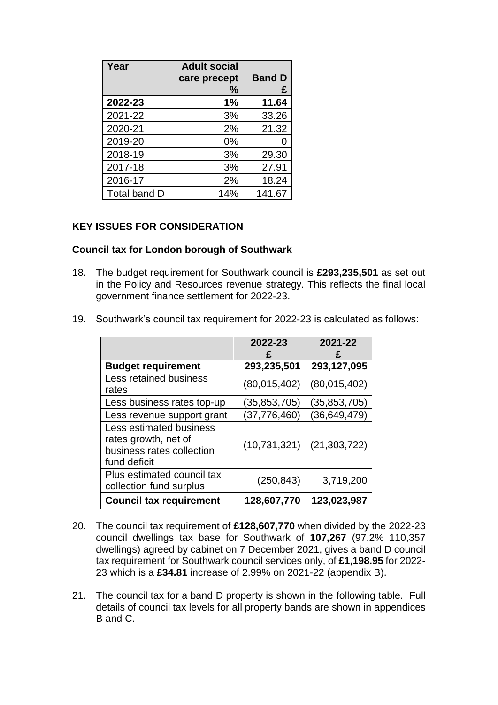| Year         | <b>Adult social</b><br>care precept | <b>Band D</b> |
|--------------|-------------------------------------|---------------|
|              | ℅                                   | £             |
| 2022-23      | 1%                                  | 11.64         |
| 2021-22      | 3%                                  | 33.26         |
| 2020-21      | 2%                                  | 21.32         |
| 2019-20      | $0\%$                               |               |
| 2018-19      | 3%                                  | 29.30         |
| 2017-18      | 3%                                  | 27.91         |
| 2016-17      | 2%                                  | 18.24         |
| Total band D | 14%                                 | 141.67        |

## **KEY ISSUES FOR CONSIDERATION**

#### **Council tax for London borough of Southwark**

- 18. The budget requirement for Southwark council is **£293,235,501** as set out in the Policy and Resources revenue strategy. This reflects the final local government finance settlement for 2022-23.
- 19. Southwark's council tax requirement for 2022-23 is calculated as follows:

|                                                                                                     | 2022-23        | 2021-22        |
|-----------------------------------------------------------------------------------------------------|----------------|----------------|
| <b>Budget requirement</b>                                                                           | 293,235,501    | 293,127,095    |
| <b>Less retained business</b>                                                                       |                |                |
| rates                                                                                               | (80,015,402)   | (80,015,402)   |
| Less business rates top-up                                                                          | (35, 853, 705) | (35, 853, 705) |
| Less revenue support grant                                                                          | (37, 776, 460) | (36, 649, 479) |
| <b>Less estimated business</b><br>rates growth, net of<br>business rates collection<br>fund deficit | (10, 731, 321) | (21, 303, 722) |
| Plus estimated council tax<br>collection fund surplus                                               | (250, 843)     | 3,719,200      |
| <b>Council tax requirement</b>                                                                      | 128,607,770    | 123,023,987    |

- 20. The council tax requirement of **£128,607,770** when divided by the 2022-23 council dwellings tax base for Southwark of **107,267** (97.2% 110,357 dwellings) agreed by cabinet on 7 December 2021, gives a band D council tax requirement for Southwark council services only, of **£1,198.95** for 2022- 23 which is a **£34.81** increase of 2.99% on 2021-22 (appendix B).
- 21. The council tax for a band D property is shown in the following table. Full details of council tax levels for all property bands are shown in appendices B and C.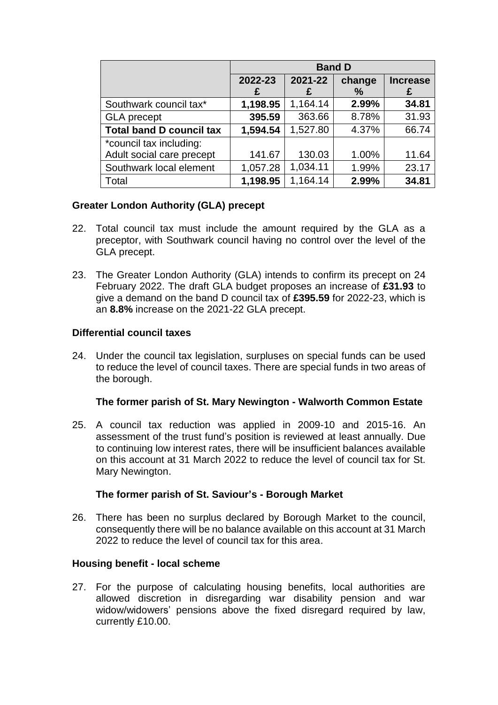|                                 | <b>Band D</b> |              |             |                      |
|---------------------------------|---------------|--------------|-------------|----------------------|
|                                 | 2022-23<br>£  | 2021-22<br>£ | change<br>℅ | <b>Increase</b><br>£ |
| Southwark council tax*          | 1,198.95      | 1,164.14     | 2.99%       | 34.81                |
| <b>GLA</b> precept              | 395.59        | 363.66       | 8.78%       | 31.93                |
| <b>Total band D council tax</b> | 1,594.54      | 1,527.80     | 4.37%       | 66.74                |
| *council tax including:         |               |              |             |                      |
| Adult social care precept       | 141.67        | 130.03       | 1.00%       | 11.64                |
| Southwark local element         | 1,057.28      | 1,034.11     | 1.99%       | 23.17                |
| Total                           | 1,198.95      | 1,164.14     | 2.99%       | 34.81                |

### **Greater London Authority (GLA) precept**

- 22. Total council tax must include the amount required by the GLA as a preceptor, with Southwark council having no control over the level of the GLA precept.
- 23. The Greater London Authority (GLA) intends to confirm its precept on 24 February 2022. The draft GLA budget proposes an increase of **£31.93** to give a demand on the band D council tax of **£395.59** for 2022-23, which is an **8.8%** increase on the 2021-22 GLA precept.

### **Differential council taxes**

24. Under the council tax legislation, surpluses on special funds can be used to reduce the level of council taxes. There are special funds in two areas of the borough.

### **The former parish of St. Mary Newington - Walworth Common Estate**

25. A council tax reduction was applied in 2009-10 and 2015-16. An assessment of the trust fund's position is reviewed at least annually. Due to continuing low interest rates, there will be insufficient balances available on this account at 31 March 2022 to reduce the level of council tax for St. Mary Newington.

### **The former parish of St. Saviour's - Borough Market**

26. There has been no surplus declared by Borough Market to the council, consequently there will be no balance available on this account at 31 March 2022 to reduce the level of council tax for this area.

### **Housing benefit - local scheme**

27. For the purpose of calculating housing benefits, local authorities are allowed discretion in disregarding war disability pension and war widow/widowers' pensions above the fixed disregard required by law, currently £10.00.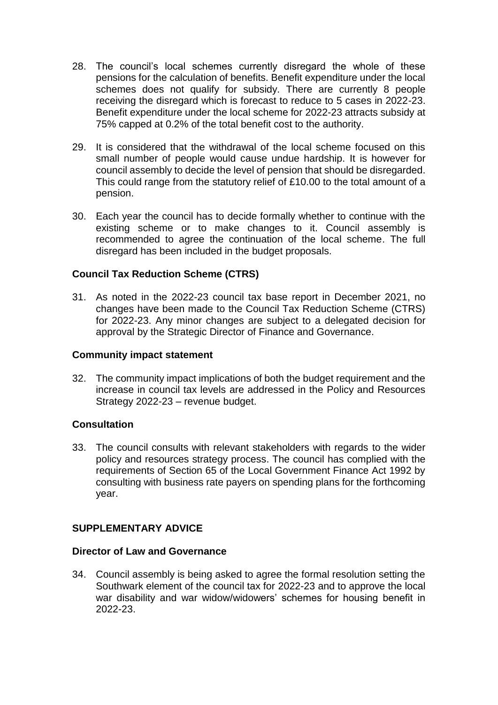- 28. The council's local schemes currently disregard the whole of these pensions for the calculation of benefits. Benefit expenditure under the local schemes does not qualify for subsidy. There are currently 8 people receiving the disregard which is forecast to reduce to 5 cases in 2022-23. Benefit expenditure under the local scheme for 2022-23 attracts subsidy at 75% capped at 0.2% of the total benefit cost to the authority.
- 29. It is considered that the withdrawal of the local scheme focused on this small number of people would cause undue hardship. It is however for council assembly to decide the level of pension that should be disregarded. This could range from the statutory relief of £10.00 to the total amount of a pension.
- 30. Each year the council has to decide formally whether to continue with the existing scheme or to make changes to it. Council assembly is recommended to agree the continuation of the local scheme. The full disregard has been included in the budget proposals.

### **Council Tax Reduction Scheme (CTRS)**

31. As noted in the 2022-23 council tax base report in December 2021, no changes have been made to the Council Tax Reduction Scheme (CTRS) for 2022-23. Any minor changes are subject to a delegated decision for approval by the Strategic Director of Finance and Governance.

#### **Community impact statement**

32. The community impact implications of both the budget requirement and the increase in council tax levels are addressed in the Policy and Resources Strategy 2022-23 – revenue budget.

### **Consultation**

33. The council consults with relevant stakeholders with regards to the wider policy and resources strategy process. The council has complied with the requirements of Section 65 of the Local Government Finance Act 1992 by consulting with business rate payers on spending plans for the forthcoming year.

### **SUPPLEMENTARY ADVICE**

#### **Director of Law and Governance**

34. Council assembly is being asked to agree the formal resolution setting the Southwark element of the council tax for 2022-23 and to approve the local war disability and war widow/widowers' schemes for housing benefit in 2022-23.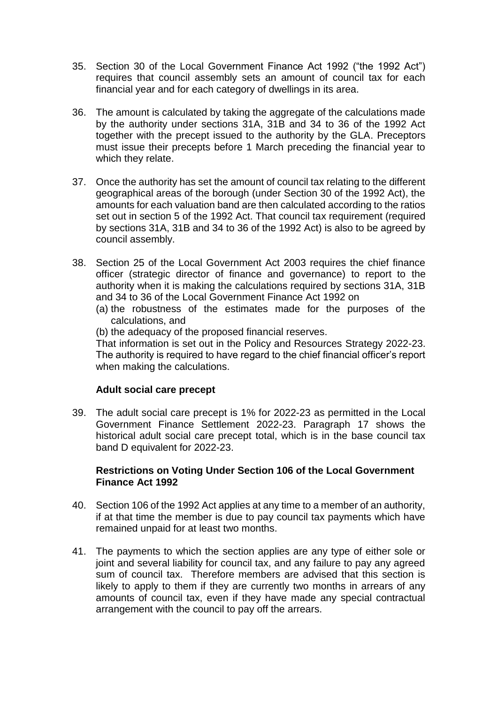- 35. Section 30 of the Local Government Finance Act 1992 ("the 1992 Act") requires that council assembly sets an amount of council tax for each financial year and for each category of dwellings in its area.
- 36. The amount is calculated by taking the aggregate of the calculations made by the authority under sections 31A, 31B and 34 to 36 of the 1992 Act together with the precept issued to the authority by the GLA. Preceptors must issue their precepts before 1 March preceding the financial year to which they relate.
- 37. Once the authority has set the amount of council tax relating to the different geographical areas of the borough (under Section 30 of the 1992 Act), the amounts for each valuation band are then calculated according to the ratios set out in section 5 of the 1992 Act. That council tax requirement (required by sections 31A, 31B and 34 to 36 of the 1992 Act) is also to be agreed by council assembly.
- 38. Section 25 of the Local Government Act 2003 requires the chief finance officer (strategic director of finance and governance) to report to the authority when it is making the calculations required by sections 31A, 31B and 34 to 36 of the Local Government Finance Act 1992 on
	- (a) the robustness of the estimates made for the purposes of the calculations, and
	- (b) the adequacy of the proposed financial reserves.

That information is set out in the Policy and Resources Strategy 2022-23. The authority is required to have regard to the chief financial officer's report when making the calculations.

### **Adult social care precept**

39. The adult social care precept is 1% for 2022-23 as permitted in the Local Government Finance Settlement 2022-23. Paragraph 17 shows the historical adult social care precept total, which is in the base council tax band D equivalent for 2022-23.

### **Restrictions on Voting Under Section 106 of the Local Government Finance Act 1992**

- 40. Section 106 of the 1992 Act applies at any time to a member of an authority, if at that time the member is due to pay council tax payments which have remained unpaid for at least two months.
- 41. The payments to which the section applies are any type of either sole or joint and several liability for council tax, and any failure to pay any agreed sum of council tax. Therefore members are advised that this section is likely to apply to them if they are currently two months in arrears of any amounts of council tax, even if they have made any special contractual arrangement with the council to pay off the arrears.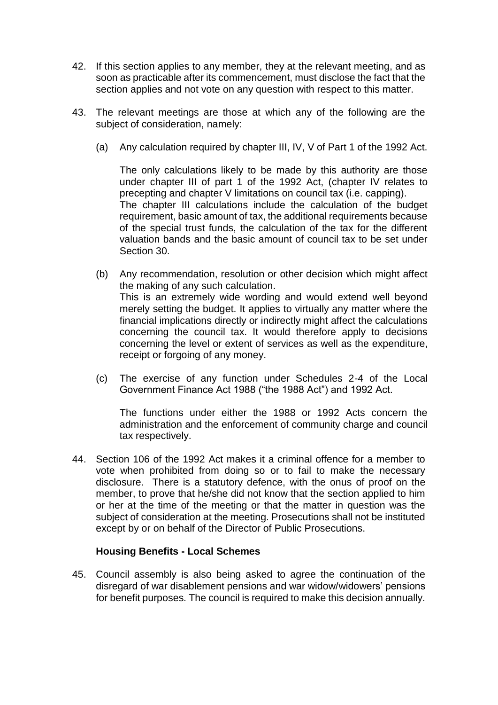- 42. If this section applies to any member, they at the relevant meeting, and as soon as practicable after its commencement, must disclose the fact that the section applies and not vote on any question with respect to this matter.
- 43. The relevant meetings are those at which any of the following are the subject of consideration, namely:
	- (a) Any calculation required by chapter III, IV, V of Part 1 of the 1992 Act.

The only calculations likely to be made by this authority are those under chapter III of part 1 of the 1992 Act, (chapter IV relates to precepting and chapter V limitations on council tax (i.e. capping). The chapter III calculations include the calculation of the budget requirement, basic amount of tax, the additional requirements because of the special trust funds, the calculation of the tax for the different valuation bands and the basic amount of council tax to be set under Section 30.

- (b) Any recommendation, resolution or other decision which might affect the making of any such calculation. This is an extremely wide wording and would extend well beyond merely setting the budget. It applies to virtually any matter where the financial implications directly or indirectly might affect the calculations concerning the council tax. It would therefore apply to decisions concerning the level or extent of services as well as the expenditure, receipt or forgoing of any money.
- (c) The exercise of any function under Schedules 2-4 of the Local Government Finance Act 1988 ("the 1988 Act") and 1992 Act.

The functions under either the 1988 or 1992 Acts concern the administration and the enforcement of community charge and council tax respectively.

44. Section 106 of the 1992 Act makes it a criminal offence for a member to vote when prohibited from doing so or to fail to make the necessary disclosure. There is a statutory defence, with the onus of proof on the member, to prove that he/she did not know that the section applied to him or her at the time of the meeting or that the matter in question was the subject of consideration at the meeting. Prosecutions shall not be instituted except by or on behalf of the Director of Public Prosecutions.

### **Housing Benefits - Local Schemes**

45. Council assembly is also being asked to agree the continuation of the disregard of war disablement pensions and war widow/widowers' pensions for benefit purposes. The council is required to make this decision annually.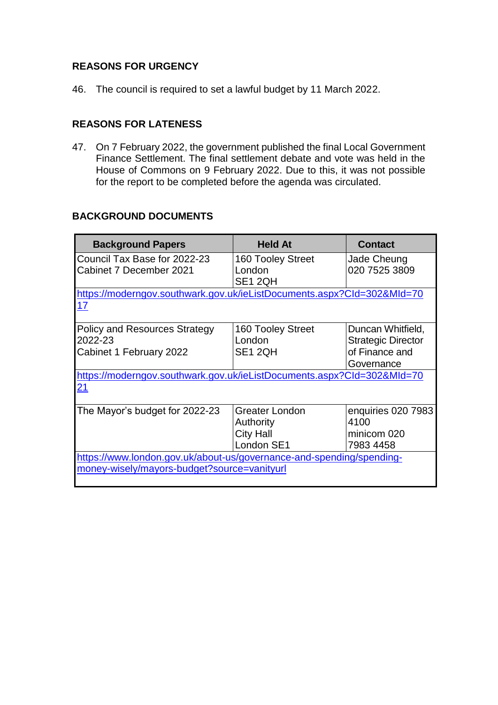## **REASONS FOR URGENCY**

46. The council is required to set a lawful budget by 11 March 2022.

### **REASONS FOR LATENESS**

47. On 7 February 2022, the government published the final Local Government Finance Settlement. The final settlement debate and vote was held in the House of Commons on 9 February 2022. Due to this, it was not possible for the report to be completed before the agenda was circulated.

### **BACKGROUND DOCUMENTS**

| <b>Background Papers</b>                                               | <b>Held At</b>        | <b>Contact</b>            |  |  |
|------------------------------------------------------------------------|-----------------------|---------------------------|--|--|
| Council Tax Base for 2022-23                                           | 160 Tooley Street     | Jade Cheung               |  |  |
| Cabinet 7 December 2021                                                | London                | 020 7525 3809             |  |  |
|                                                                        | SE1 2QH               |                           |  |  |
| https://moderngov.southwark.gov.uk/ieListDocuments.aspx?Cld=302&Mld=70 |                       |                           |  |  |
| 17                                                                     |                       |                           |  |  |
| <b>Policy and Resources Strategy</b>                                   | 160 Tooley Street     | Duncan Whitfield,         |  |  |
| 2022-23                                                                | London                | <b>Strategic Director</b> |  |  |
| Cabinet 1 February 2022                                                | SE1 2QH               | of Finance and            |  |  |
|                                                                        |                       | Governance                |  |  |
| https://moderngov.southwark.gov.uk/ieListDocuments.aspx?Cld=302&Mld=70 |                       |                           |  |  |
| 21                                                                     |                       |                           |  |  |
| The Mayor's budget for 2022-23                                         | <b>Greater London</b> | enquiries 020 7983        |  |  |
|                                                                        | Authority             | 4100                      |  |  |
|                                                                        | <b>City Hall</b>      | minicom 020               |  |  |
|                                                                        | London SE1            | 7983 4458                 |  |  |
| https://www.london.gov.uk/about-us/governance-and-spending/spending-   |                       |                           |  |  |
| money-wisely/mayors-budget?source=vanityurl                            |                       |                           |  |  |
|                                                                        |                       |                           |  |  |